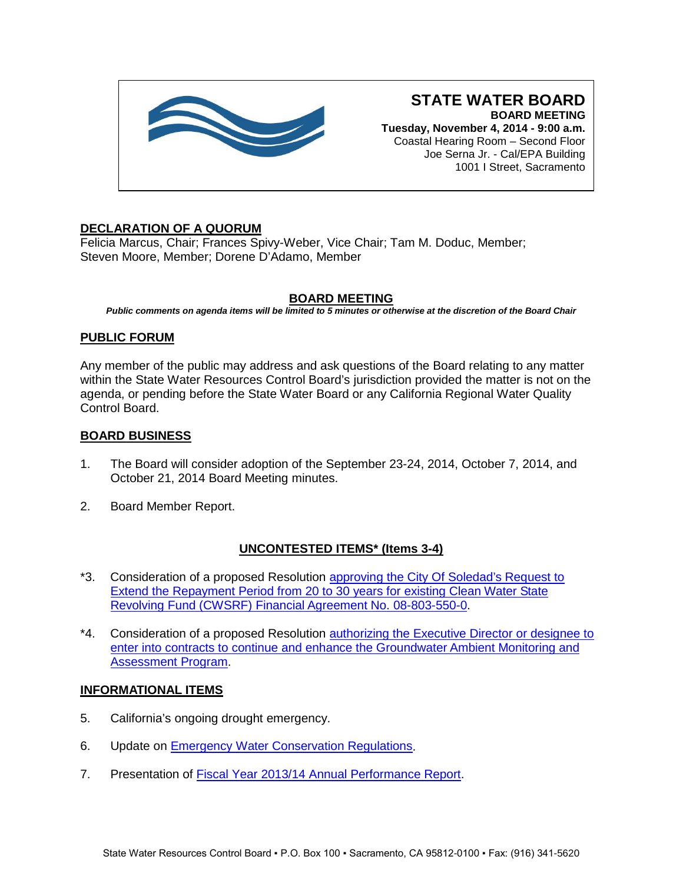

# **STATE WATER BOARD BOARD MEETING**

**Tuesday, November 4, 2014 - 9:00 a.m.** Coastal Hearing Room – Second Floor Joe Serna Jr. - Cal/EPA Building 1001 I Street, Sacramento

## **DECLARATION OF A QUORUM**

Felicia Marcus, Chair; Frances Spivy-Weber, Vice Chair; Tam M. Doduc, Member; Steven Moore, Member; Dorene D'Adamo, Member

## **BOARD MEETING**

*Public comments on agenda items will be limited to 5 minutes or otherwise at the discretion of the Board Chair*

## **PUBLIC FORUM**

Any member of the public may address and ask questions of the Board relating to any matter within the State Water Resources Control Board's jurisdiction provided the matter is not on the agenda, or pending before the State Water Board or any California Regional Water Quality Control Board.

### **BOARD BUSINESS**

- 1. The Board will consider adoption of the September 23-24, 2014, October 7, 2014, and October 21, 2014 Board Meeting minutes.
- 2. Board Member Report.

## **UNCONTESTED ITEMS\* (Items 3-4)**

- \*3. Consideration of a proposed Resolution [approving the City Of Soledad's Request to](http://www.waterboards.ca.gov/board_info/agendas/2014/nov/110414_3.pdf)  [Extend the Repayment Period from 20 to 30 years for existing Clean Water State](http://www.waterboards.ca.gov/board_info/agendas/2014/nov/110414_3.pdf)  [Revolving Fund \(CWSRF\) Financial Agreement No. 08-803-550-0.](http://www.waterboards.ca.gov/board_info/agendas/2014/nov/110414_3.pdf)
- \*4. Consideration of a proposed Resolution [authorizing the Executive Director or designee to](http://www.waterboards.ca.gov/board_info/agendas/2014/nov/110414_4.pdf)  [enter into contracts to continue and enhance the Groundwater Ambient Monitoring and](http://www.waterboards.ca.gov/board_info/agendas/2014/nov/110414_4.pdf)  [Assessment Program.](http://www.waterboards.ca.gov/board_info/agendas/2014/nov/110414_4.pdf)

### **INFORMATIONAL ITEMS**

- 5. California's ongoing drought emergency.
- 6. Update on **Emergency Water Conservation Regulations**.
- 7. Presentation of [Fiscal Year 2013/14 Annual Performance Report.](http://www.waterboards.ca.gov/board_info/agendas/2014/nov/110414_7.pdf)